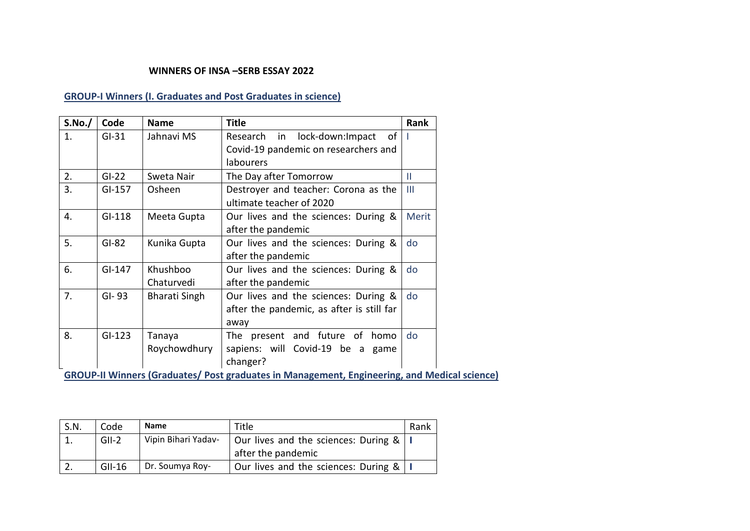## **WINNERS OF INSA –SERB ESSAY 2022**

## **GROUP-I Winners (I. Graduates and Post Graduates in science)**

| S.No./ | Code     | <b>Name</b>   | <b>Title</b>                              | Rank         |
|--------|----------|---------------|-------------------------------------------|--------------|
| 1.     | $GI-31$  | Jahnavi MS    | Research in lock-down: Impact<br>οf       |              |
|        |          |               | Covid-19 pandemic on researchers and      |              |
|        |          |               | labourers                                 |              |
| 2.     | $GI-22$  | Sweta Nair    | The Day after Tomorrow                    | $\mathbf{H}$ |
| 3.     | $GI-157$ | Osheen        | Destroyer and teacher: Corona as the      | Ш            |
|        |          |               | ultimate teacher of 2020                  |              |
| 4.     | $GI-118$ | Meeta Gupta   | Our lives and the sciences: During &      | Merit        |
|        |          |               | after the pandemic                        |              |
| 5.     | $GI-82$  | Kunika Gupta  | Our lives and the sciences: During &      | do           |
|        |          |               | after the pandemic                        |              |
| 6.     | $GI-147$ | Khushboo      | Our lives and the sciences: During &      | do           |
|        |          | Chaturvedi    | after the pandemic                        |              |
| 7.     | $GI-93$  | Bharati Singh | Our lives and the sciences: During &      | do           |
|        |          |               | after the pandemic, as after is still far |              |
|        |          |               | away                                      |              |
| 8.     | $GI-123$ | Tanaya        | The present and future of<br>homo         | do           |
|        |          | Roychowdhury  | sapiens: will Covid-19 be a<br>game       |              |
|        |          |               | changer?                                  |              |

**GROUP-II Winners (Graduates/ Post graduates in Management, Engineering, and Medical science)** 

| S.N. | Code     | <b>Name</b>         | Title                                | Rank |
|------|----------|---------------------|--------------------------------------|------|
|      | $GII-2$  | Vipin Bihari Yadav- | Our lives and the sciences: During & |      |
|      |          |                     | after the pandemic                   |      |
|      | $GII-16$ | Dr. Soumya Roy-     | Our lives and the sciences: During & |      |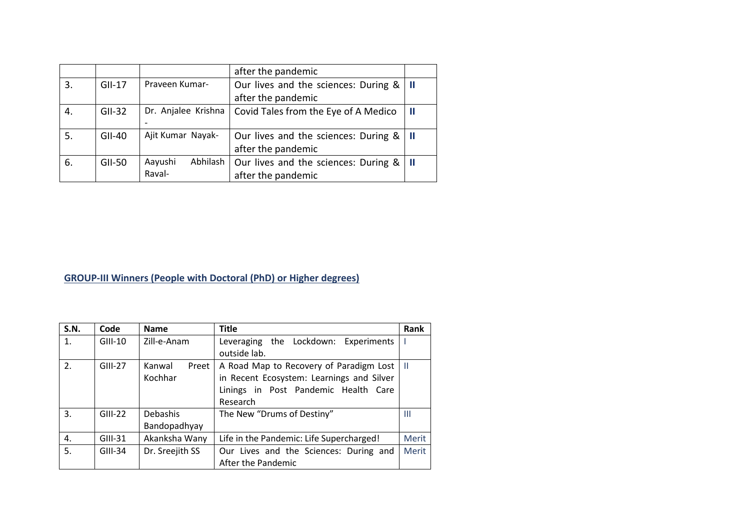|    |               |                     | after the pandemic                   |   |
|----|---------------|---------------------|--------------------------------------|---|
| 3. | $GII-17$      | Praveen Kumar-      | Our lives and the sciences: During & |   |
|    |               |                     | after the pandemic                   |   |
| 4. | $GII-32$      | Dr. Anjalee Krishna | Covid Tales from the Eye of A Medico | H |
|    |               |                     |                                      |   |
| 5. | $GII-40$      | Ajit Kumar Nayak-   | Our lives and the sciences: During & |   |
|    |               |                     | after the pandemic                   |   |
| 6. | <b>GII-50</b> | Abhilash<br>Aayushi | Our lives and the sciences: During & |   |
|    |               | Raval-              | after the pandemic                   |   |

## **GROUP-III Winners (People with Doctoral (PhD) or Higher degrees)**

| <b>S.N.</b> | Code      | <b>Name</b>     | <b>Title</b>                              | Rank         |
|-------------|-----------|-----------------|-------------------------------------------|--------------|
| 1.          | $GIII-10$ | Zill-e-Anam     | Leveraging the Lockdown: Experiments      |              |
|             |           |                 | outside lab.                              |              |
| 2.          | $GIII-27$ | Kanwal<br>Preet | A Road Map to Recovery of Paradigm Lost   | H            |
|             |           | Kochhar         | in Recent Ecosystem: Learnings and Silver |              |
|             |           |                 | Linings in Post Pandemic Health Care      |              |
|             |           |                 | Research                                  |              |
| 3.          | $GIII-22$ | Debashis        | The New "Drums of Destiny"                | Ш            |
|             |           | Bandopadhyay    |                                           |              |
| 4.          | GIII-31   | Akanksha Wany   | Life in the Pandemic: Life Supercharged!  | <b>Merit</b> |
| 5.          | $GIII-34$ | Dr. Sreejith SS | Our Lives and the Sciences: During and    | Merit        |
|             |           |                 | After the Pandemic                        |              |